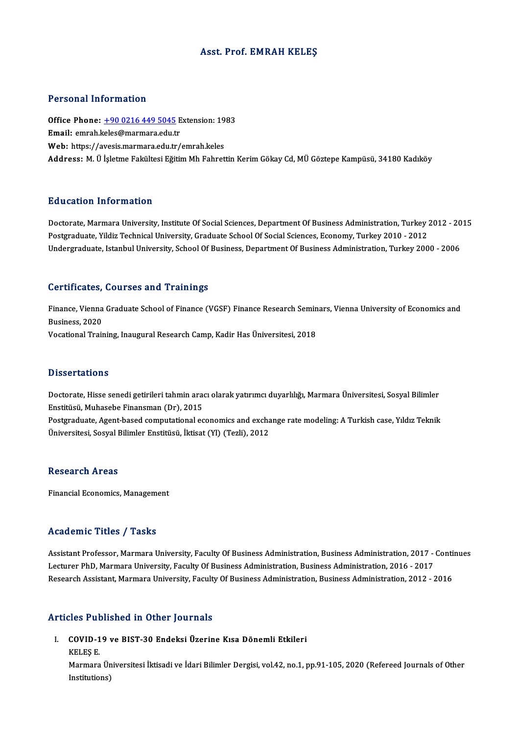### Asst. Prof. EMRAH KELEŞ

### Personal Information

Personal Information<br>Office Phone: <u>+90 0216 449 5045</u> Extension: 1983<br>Email: emrab kales@marmare.edu.tr Fersonar milensisch<br>Office Phone: <u>+90 0216 449 5045</u> E<br>Email: emrah.[keles@marmara.edu.t](tel:+90 0216 449 5045)r Office Phone: <u>+90 0216 449 5045</u> Extension: 19<br>Email: emrah.keles@marmara.edu.tr<br>Web: https://avesis.marmara.edu.tr/emrah.keles<br>Address: M. Ü İsletme Fekültesi Eğitim Mb Febret Email: emrah.keles@marmara.edu.tr<br>Web: https://avesis.marmara.edu.tr/emrah.keles<br>Address: M. Ü İsletme Fakültesi Eğitim Mh Fahrettin Kerim Gökay Cd. MÜ Göztepe Kampüsü, 34180 Kadıköy

### Education Information

Education Information<br>Doctorate, Marmara University, Institute Of Social Sciences, Department Of Business Administration, Turkey 2012 - 2015<br>Restanduate Vildiz Technical University, Creduate School Of Secial Sciences, Eson Putted Catton Timor Interion<br>Doctorate, Marmara University, Institute Of Social Sciences, Department Of Business Administration, Turkey 2<br>Undergraduate, Istanbul University, School Of Business, Department Of Business, Admi Doctorate, Marmara University, Institute Of Social Sciences, Department Of Business Administration, Turkey 2012 - 20<br>Postgraduate, Yildiz Technical University, Graduate School Of Social Sciences, Economy, Turkey 2010 - 201 Undergraduate, Istanbul University, School Of Business, Department Of Business Administration, Turkey 2000 - 2006<br>Certificates, Courses and Trainings

Certificates, Courses and Trainings<br>Finance, Vienna Graduate School of Finance (VGSF) Finance Research Seminars, Vienna University of Economics and<br>Pusiness 2020 **Business, 2020**<br>Business, 2020<br>Mosational Trait Finance, Vienna Graduate School of Finance (VGSF) Finance Research Semin<br>Business, 2020<br>Vocational Training, Inaugural Research Camp, Kadir Has Üniversitesi, 2018 Vocational Training, Inaugural Research Camp, Kadir Has Üniversitesi, 2018<br>Dissertations

Dissertations<br>Doctorate, Hisse senedi getirileri tahmin aracı olarak yatırımcı duyarlılığı, Marmara Üniversitesi, Sosyal Bilimler<br>Enstitüsü, Muhasaba Einansman (Dr.), 2015 e 1999t tatroms<br>Doctorate, Hisse senedi getirileri tahmin ara<br>Enstitüsü, Muhasebe Finansman (Dr), 2015<br>Bestanaduate, Agent based computational eq Doctorate, Hisse senedi getirileri tahmin aracı olarak yatırımcı duyarlılığı, Marmara Üniversitesi, Sosyal Bilimler<br>Enstitüsü, Muhasebe Finansman (Dr), 2015<br>Postgraduate, Agent-based computational economics and exchange ra Enstitüsü, Muhasebe Finansman (Dr), 2015<br>Postgraduate, Agent-based computational economics and exchange rate modeling: A Turkish case, Yıldız Teknik<br>Üniversitesi, Sosyal Bilimler Enstitüsü, İktisat (Yl) (Tezli), 2012

### **Research Areas**

Financial Economics, Management

## Academic Titles / Tasks

Assistant Professor, Marmara University, Faculty Of Business Administration, Business Administration, 2017 - Continues Lecturer Pressor, Marmara University, Faculty Of Business Administration, Business Administration, 2017 -<br>Lecturer PhD, Marmara University, Faculty Of Business Administration, Business Administration, 2016 - 2017<br>Besearch Assistant Professor, Marmara University, Faculty Of Business Administration, Business Administration, 2017 - Conti<br>Lecturer PhD, Marmara University, Faculty Of Business Administration, Business Administration, 2016 - 2017<br> Research Assistant, Marmara University, Faculty Of Business Administration, Business Administration, 2012 - 2016<br>Articles Published in Other Journals

rticles Published in Other Journals<br>I. COVID-19 ve BIST-30 Endeksi Üzerine Kısa Dönemli Etkileri<br>KELES E

SICUT LA<br>COVID-1<br>KELEŞ E. COVID-19 ve BIST-30 Endeksi Üzerine Kısa Dönemli Etkileri<br>KELEŞ E.<br>Marmara Üniversitesi İktisadi ve İdari Bilimler Dergisi, vol.42, no.1, pp.91-105, 2020 (Refereed Journals of Other KELEŞ E.<br>Marmara Ür<br>Institutions)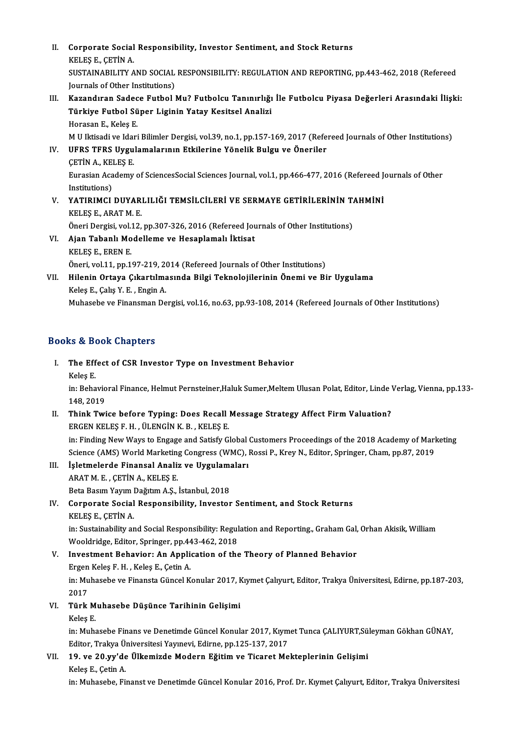II. Corporate Social Responsibility, Investor Sentiment, and Stock Returns<br>KELES F. CETIM A **Corporate Social<br>KELEŞ E., ÇETİN A.<br>SUSTAINAPU ITV A** Corporate Social Responsibility, Investor Sentiment, and Stock Returns<br>KELEŞ E., ÇETİN A.<br>SUSTAINABILITY AND SOCIAL RESPONSIBILITY: REGULATION AND REPORTING, pp.443-462, 2018 (Refereed<br>Journals of Other Institutione) KELEŞ E., ÇETİN A.<br>SUSTAINABILITY AND SOCIAL<br>Journals of Other Institutions)<br>Karandıran Sadasa Euthal I Journals of Other Institutions)<br>III. Kazandıran Sadece Futbol Mu? Futbolcu Tanınırlığı İle Futbolcu Piyasa Değerleri Arasındaki İlişki: Journals of Other Institutions)<br>Kazandıran Sadece Futbol Mu? Futbolcu Tanınırlığı<br>Türkiye Futbol Süper Liginin Yatay Kesitsel Analizi<br>Harasan E. Keles E Kazandıran Sadec<br>Türkiye Futbol Sü<br>Horasan E., Keleş E.<br>M.U Iktisadi ve Idari Horasan E., Keleş E.<br>M U Iktisadi ve Idari Bilimler Dergisi, vol.39, no.1, pp.157-169, 2017 (Refereed Journals of Other Institutions) Horasan E., Keleş E.<br>M U Iktisadi ve Idari Bilimler Dergisi, vol.39, no.1, pp.157-169, 2017 (Refe<br>IV. UFRS TFRS Uygulamalarının Etkilerine Yönelik Bulgu ve Öneriler<br>CETİN A. KELES E

## M U Iktisadi ve Idai<br>UFRS TFRS Uygu<br>ÇETİN A., KELEŞ E.<br>Eurasian Asadamu UFRS TFRS Uygulamalarının Etkilerine Yönelik Bulgu ve Öneriler<br>ÇETİN A., KELEŞ E.<br>Eurasian Academy of SciencesSocial Sciences Journal, vol.1, pp.466-477, 2016 (Refereed Journals of Other<br>Institutions) CETIN A., KEI<br>Eurasian Aca<br>Institutions)<br>VATIBIMCI Eurasian Academy of SciencesSocial Sciences Journal, vol.1, pp.466-477, 2016 (Refereed Journal)<br>Institutions)<br>V. YATIRIMCI DUYARLILIĞI TEMSİLCİLERİ VE SERMAYE GETİRİLERİNİN TAHMİNİ<br>VELES E. ARATM E

# Institutions)<br>V. YATIRIMCI DUYARLILIĞI TEMSİLCİLERİ VE SERMAYE GETİRİLERİNİN TAHMİNİ<br>KELEŞ E., ARAT M. E. YATIRIMCI DUYARLILIĞI TEMSİLCİLERİ VE SERMAYE GETİRİLERİNİN T.<br>KELEŞ E., ARAT M. E.<br>Öneri Dergisi, vol.12, pp.307-326, 2016 (Refereed Journals of Other Institutions)<br>Aian Tabanlı Madallama ve Hasanlamalı İktisat

VI. Ajan Tabanlı Modelleme ve Hesaplamalı İktisat<br>KELEŞ E., EREN E. Öneri Dergisi, vol.<br><mark>Ajan Tabanlı Mo</mark><br>KELEŞ E., EREN E.<br>Öneri vol.1.1 nn.1 Öneri, vol.11, pp.197-219, 2014 (Refereed Journals of Other Institutions) KELEŞ E., EREN E.<br>Öneri, vol.11, pp.197-219, 2014 (Refereed Journals of Other Institutions)<br>VII. Hilenin Ortaya Çıkartılmasında Bilgi Teknolojilerinin Önemi ve Bir Uygulama<br>Keles E. Cels V. E. Engin A

## Öneri, vol.11, pp.197-219, 20<br>Hilenin Ortaya Çıkartılma<br>Keleş E., Çalış Y. E. , Engin A.<br>Muhasaha ve Finanaman Da Keleş E., Çalış Y. E. , Engin A.<br>Muhasebe ve Finansman Dergisi, vol.16, no.63, pp.93-108, 2014 (Refereed Journals of Other Institutions)

## Books&Book Chapters

ooks & Book Chapters<br>I. The Effect of CSR Investor Type on Investment Behavior<br>Keles E E.<br>The Eff<br>Keleş E.<br>in: <sup>Robo</sup> The Effect of CSR Investor Type on Investment Behavior<br>Keleş E.<br>in: Behavioral Finance, Helmut Pernsteiner,Haluk Sumer,Meltem Ulusan Polat, Editor, Linde Verlag, Vienna, pp.133-<br>148-2019

Keleş E.<br>in: Behavio<br>148, 2019<br>Think Twi In: Behavioral Finance, Helmut Pernsteiner, Haluk Sumer, Meltem Ulusan Polat, Editor, Linde<br>148, 2019<br>II. Think Twice before Typing: Does Recall Message Strategy Affect Firm Valuation?<br>FRCEN KELES E. H. JU ENCIN K. B. KELE

- 148, 2019<br>Think Twice before Typing: Does Recall<br>ERGEN KELEŞ F. H. , ÜLENGİN K. B. , KELEŞ E.<br>in: Einding New Weys te Engege and Satisfy C. ERGEN KELEŞ F. H. , ÜLENGİN K. B. , KELEŞ E.<br>in: Finding New Ways to Engage and Satisfy Global Customers Proceedings of the 2018 Academy of Marketing ERGEN KELEŞ F. H. , ÜLENGİN K. B. , KELEŞ E.<br>in: Finding New Ways to Engage and Satisfy Global Customers Proceedings of the 2018 Academy of Marl<br>Science (AMS) World Marketing Congress (WMC), Rossi P., Krey N., Editor, Spri
- III. İşletmelerde Finansal Analiz ve Uygulamaları<br>ARAT M. E., ÇETİN A., KELEŞ E. Science (AMS) World Marketing<br>İşletmelerde Finansal Analiz<br>ARAT M. E. , ÇETİN A., KELEŞ E.<br>Beta Basum Youun Dağıtım A.S. İşletmelerde Finansal Analiz ve Uygulamı<br>ARAT M. E. , ÇETİN A., KELEŞ E.<br>Beta Basım Yayım Dağıtım A.Ş., İstanbul, 2018<br>Cernerate Secial Bespensibility, İnvester
- IV. Corporate Social Responsibility, Investor Sentiment, and Stock Returns Beta Basım Yayım I<br>Corporate Social<br>KELEŞ E., ÇETİN A.<br>in: Sustainability ar Corporate Social Responsibility, Investor Sentiment, and Stock Returns<br>KELEŞ E., ÇETİN A.<br>in: Sustainability and Social Responsibility: Regulation and Reporting., Graham Gal, Orhan Akisik, William<br>Weeldridge Editer Springe KELEŞ E., ÇETİN A.<br>in: Sustainability and Social Responsibility: Regul<br>Wooldridge, Editor, Springer, pp.443-462, 2018<br>Investment Behaviery An Annlisation of the

## in: Sustainability and Social Responsibility: Regulation and Reporting., Graham Gal,<br>Wooldridge, Editor, Springer, pp.443-462, 2018<br>V. Investment Behavior: An Application of the Theory of Planned Behavior<br>Freen Keles E. H. Wooldridge, Editor, Springer, pp.443-462, 2018<br>V. Investment Behavior: An Application of the Theory of Planned Behavior<br>Ergen Keleş F. H., Keleş E., Çetin A. Investment Behavior: An Application of the Theory of Planned Behavior<br>Ergen Keleş F. H. , Keleş E., Çetin A.<br>in: Muhasebe ve Finansta Güncel Konular 2017, Kıymet Çalıyurt, Editor, Trakya Üniversitesi, Edirne, pp.187-203,<br>2 Ergen<br>in: Mu<br>2017<br>Türk in: Muhasebe ve Finansta Güncel Konular 2017, F<br>2017<br>VI. Türk Muhasebe Düşünce Tarihinin Gelişimi<br>Keles E

- 2017<br><mark>Türk M</mark><br>Keleş E.<br>in: Muh
	-

Türk Muhasebe Düşünce Tarihinin Gelişimi<br>Keleş E.<br>in: Muhasebe Finans ve Denetimde Güncel Konular 2017, Kıymet Tunca ÇALIYURT,Süleyman Gökhan GÜNAY,<br>Editor Trakya Üniversitesi Younevi, Edinne, np.125, 127, 2017 Keleş E.<br>in: Muhasebe Finans ve Denetimde Güncel Konular 2017, Kıym<br>Editor, Trakya Üniversitesi Yayınevi, Edirne, pp.125-137, 2017<br>19. va 20. vy'de Ülkemirde Medern Făitim ve Tisenet Me in: Muhasebe Finans ve Denetimde Güncel Konular 2017, Kıymet Tunca ÇALIYURT,Sü<br>Editor, Trakya Üniversitesi Yayınevi, Edirne, pp.125-137, 2017<br>VII. 19. ve 20.yy'de Ülkemizde Modern Eğitim ve Ticaret Mekteplerinin Gelişimi

Editor, Trakya Ü<br>19. ve 20.yy'de<br>Keleş E., Çetin A.<br>in: Muhasaba, Ei Keleş E., Çetin A.<br>in: Muhasebe, Finanst ve Denetimde Güncel Konular 2016, Prof. Dr. Kıymet Çalıyurt, Editor, Trakya Üniversitesi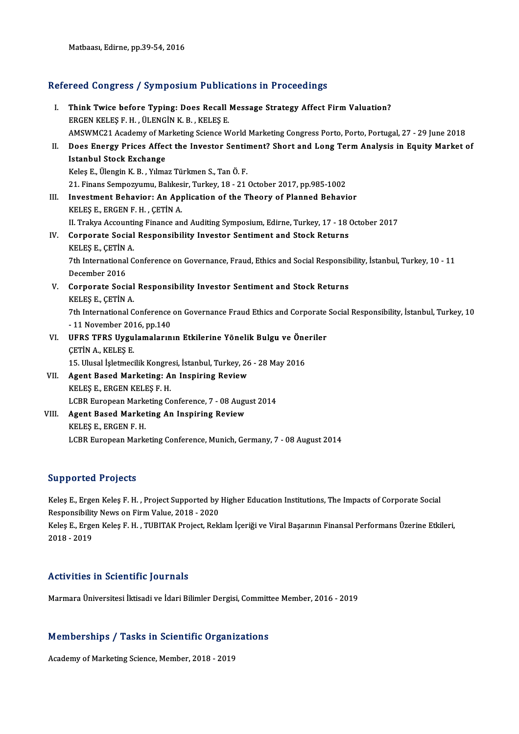Matbaası, Edirne, pp.39-54, 2016

# Matbaasi, Edirne, pp.39-54, 2016<br>Refereed Congress / Symposium Publications in Proceedings

| Refereed Congress / Symposium Publications in Proceedings |                                                                                                                   |
|-----------------------------------------------------------|-------------------------------------------------------------------------------------------------------------------|
| L.                                                        | Think Twice before Typing: Does Recall Message Strategy Affect Firm Valuation?                                    |
|                                                           | ERGEN KELEŞ F. H., ÜLENGİN K. B., KELEŞ E.                                                                        |
|                                                           | AMSWMC21 Academy of Marketing Science World Marketing Congress Porto, Porto, Portugal, 27 - 29 June 2018          |
| Н.                                                        | Does Energy Prices Affect the Investor Sentiment? Short and Long Term Analysis in Equity Market of                |
|                                                           | <b>Istanbul Stock Exchange</b>                                                                                    |
|                                                           | Keleş E., Ülengin K. B., Yılmaz Türkmen S., Tan Ö. F.                                                             |
|                                                           | 21. Finans Sempozyumu, Balıkesir, Turkey, 18 - 21 October 2017, pp.985-1002                                       |
| III.                                                      | Investment Behavior: An Application of the Theory of Planned Behavior                                             |
|                                                           | KELES E, ERGEN F. H., CETIN A.                                                                                    |
|                                                           | II. Trakya Accounting Finance and Auditing Symposium, Edirne, Turkey, 17 - 18 October 2017                        |
| IV                                                        | Corporate Social Responsibility Investor Sentiment and Stock Returns                                              |
|                                                           | KELES E., CETIN A                                                                                                 |
|                                                           | 7th International Conference on Governance, Fraud, Ethics and Social Responsibility, İstanbul, Turkey, 10 - 11    |
|                                                           | December 2016                                                                                                     |
| V.                                                        | Corporate Social Responsibility Investor Sentiment and Stock Returns                                              |
|                                                           | KELES E., CETIN A.                                                                                                |
|                                                           | 7th International Conference on Governance Fraud Ethics and Corporate Social Responsibility, İstanbul, Turkey, 10 |
|                                                           | -11 November 2016, pp 140                                                                                         |
| VI.                                                       | UFRS TFRS Uygulamalarının Etkilerine Yönelik Bulgu ve Öneriler                                                    |
|                                                           | <b>CETIN A., KELES E.</b>                                                                                         |
|                                                           | 15. Ulusal İşletmecilik Kongresi, İstanbul, Turkey, 26 - 28 May 2016                                              |
| VII.                                                      | Agent Based Marketing: An Inspiring Review                                                                        |
|                                                           | KELES E., ERGEN KELES F. H.                                                                                       |
|                                                           | LCBR European Marketing Conference, 7 - 08 August 2014                                                            |
| VIII.                                                     | Agent Based Marketing An Inspiring Review                                                                         |
|                                                           | KELEŞ E, ERGEN F.H.                                                                                               |
|                                                           | LCBR European Marketing Conference, Munich, Germany, 7 - 08 August 2014                                           |
|                                                           |                                                                                                                   |

## Supported Projects

Supported Projects<br>Keleş E., Ergen Keleş F. H. , Project Supported by Higher Education Institutions, The Impacts of Corporate Social<br>Responsibility Nous on Firm Value, 2018, 2020 Eupponsibility<br>Keleş E., Ergen Keleş F. H. , Project Supported by<br>Responsibility News on Firm Value, 2018 - 2020<br>Keles E. Ergen Keles E. H., TUPITAK Project, Pekk Keleş E., Ergen Keleş F. H. , Project Supported by Higher Education Institutions, The Impacts of Corporate Social<br>Responsibility News on Firm Value, 2018 - 2020<br>Keleş E., Ergen Keleş F. H. , TUBITAK Project, Reklam İçeriği Responsibilit<br>Keleş E., Erge<br>2018 - 2019

# Activities in Scientific Journals

Marmara Üniversitesi İktisadi ve İdari Bilimler Dergisi, Committee Member, 2016 - 2019

# marmara universitesi iktisadi ve idari Bilimler Dergisi, Committ<br>Memberships / Tasks in Scientific Organizations Memberships / Tasks in Scientific Organi<br>Academy of Marketing Science, Member, 2018 - 2019